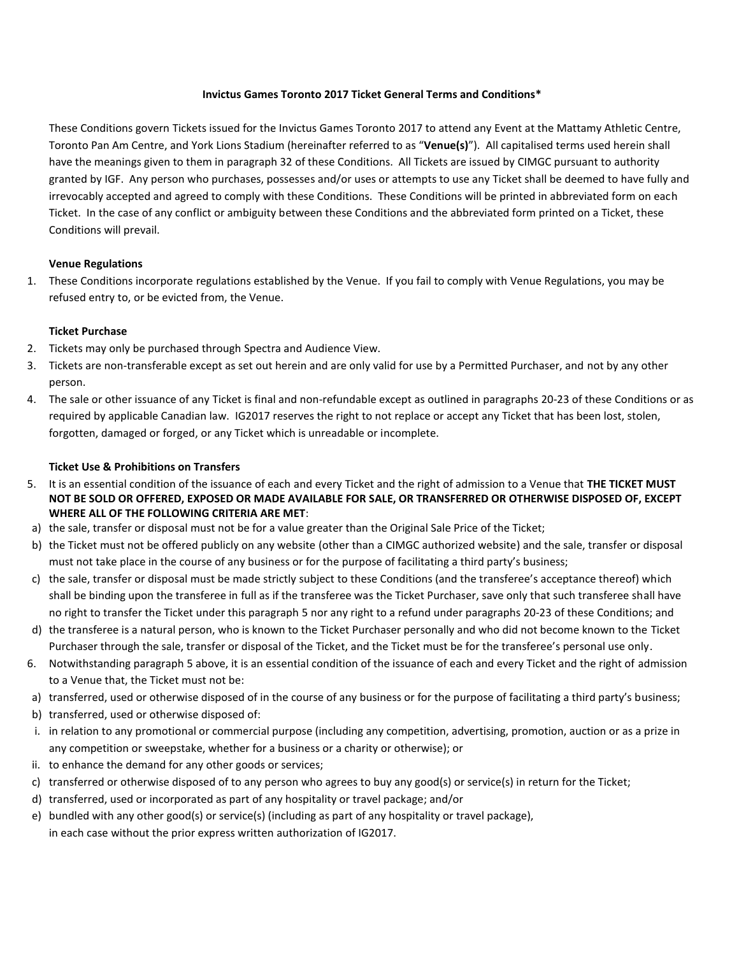### **Invictus Games Toronto 2017 Ticket General Terms and Conditions\***

These Conditions govern Tickets issued for the Invictus Games Toronto 2017 to attend any Event at the Mattamy Athletic Centre, Toronto Pan Am Centre, and York Lions Stadium (hereinafter referred to as "**Venue(s)**"). All capitalised terms used herein shall have the meanings given to them in paragraph 32 of these Conditions. All Tickets are issued by CIMGC pursuant to authority granted by IGF. Any person who purchases, possesses and/or uses or attempts to use any Ticket shall be deemed to have fully and irrevocably accepted and agreed to comply with these Conditions. These Conditions will be printed in abbreviated form on each Ticket. In the case of any conflict or ambiguity between these Conditions and the abbreviated form printed on a Ticket, these Conditions will prevail.

## **Venue Regulations**

1. These Conditions incorporate regulations established by the Venue. If you fail to comply with Venue Regulations, you may be refused entry to, or be evicted from, the Venue.

## **Ticket Purchase**

- 2. Tickets may only be purchased through Spectra and Audience View.
- 3. Tickets are non-transferable except as set out herein and are only valid for use by a Permitted Purchaser, and not by any other person.
- 4. The sale or other issuance of any Ticket is final and non-refundable except as outlined in paragraphs 20-23 of these Conditions or as required by applicable Canadian law. IG2017 reserves the right to not replace or accept any Ticket that has been lost, stolen, forgotten, damaged or forged, or any Ticket which is unreadable or incomplete.

## **Ticket Use & Prohibitions on Transfers**

- 5. It is an essential condition of the issuance of each and every Ticket and the right of admission to a Venue that **THE TICKET MUST NOT BE SOLD OR OFFERED, EXPOSED OR MADE AVAILABLE FOR SALE, OR TRANSFERRED OR OTHERWISE DISPOSED OF, EXCEPT WHERE ALL OF THE FOLLOWING CRITERIA ARE MET**:
- a) the sale, transfer or disposal must not be for a value greater than the Original Sale Price of the Ticket;
- b) the Ticket must not be offered publicly on any website (other than a CIMGC authorized website) and the sale, transfer or disposal must not take place in the course of any business or for the purpose of facilitating a third party's business;
- c) the sale, transfer or disposal must be made strictly subject to these Conditions (and the transferee's acceptance thereof) which shall be binding upon the transferee in full as if the transferee was the Ticket Purchaser, save only that such transferee shall have no right to transfer the Ticket under this paragraph 5 nor any right to a refund under paragraphs 20-23 of these Conditions; and
- d) the transferee is a natural person, who is known to the Ticket Purchaser personally and who did not become known to the Ticket Purchaser through the sale, transfer or disposal of the Ticket, and the Ticket must be for the transferee's personal use only.
- 6. Notwithstanding paragraph 5 above, it is an essential condition of the issuance of each and every Ticket and the right of admission to a Venue that, the Ticket must not be:
- a) transferred, used or otherwise disposed of in the course of any business or for the purpose of facilitating a third party's business;
- b) transferred, used or otherwise disposed of:
- i. in relation to any promotional or commercial purpose (including any competition, advertising, promotion, auction or as a prize in any competition or sweepstake, whether for a business or a charity or otherwise); or
- ii. to enhance the demand for any other goods or services;
- c) transferred or otherwise disposed of to any person who agrees to buy any good(s) or service(s) in return for the Ticket;
- d) transferred, used or incorporated as part of any hospitality or travel package; and/or
- e) bundled with any other good(s) or service(s) (including as part of any hospitality or travel package), in each case without the prior express written authorization of IG2017.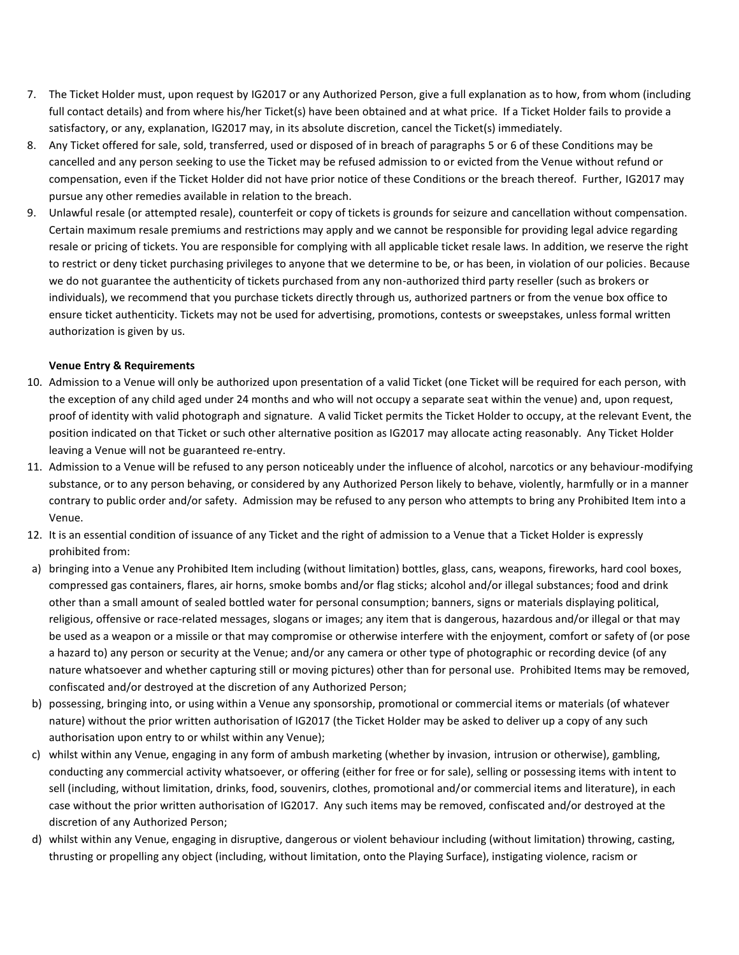- 7. The Ticket Holder must, upon request by IG2017 or any Authorized Person, give a full explanation as to how, from whom (including full contact details) and from where his/her Ticket(s) have been obtained and at what price. If a Ticket Holder fails to provide a satisfactory, or any, explanation, IG2017 may, in its absolute discretion, cancel the Ticket(s) immediately.
- 8. Any Ticket offered for sale, sold, transferred, used or disposed of in breach of paragraphs 5 or 6 of these Conditions may be cancelled and any person seeking to use the Ticket may be refused admission to or evicted from the Venue without refund or compensation, even if the Ticket Holder did not have prior notice of these Conditions or the breach thereof. Further, IG2017 may pursue any other remedies available in relation to the breach.
- 9. Unlawful resale (or attempted resale), counterfeit or copy of tickets is grounds for seizure and cancellation without compensation. Certain maximum resale premiums and restrictions may apply and we cannot be responsible for providing legal advice regarding resale or pricing of tickets. You are responsible for complying with all applicable ticket resale laws. In addition, we reserve the right to restrict or deny ticket purchasing privileges to anyone that we determine to be, or has been, in violation of our policies. Because we do not guarantee the authenticity of tickets purchased from any non-authorized third party reseller (such as brokers or individuals), we recommend that you purchase tickets directly through us, authorized partners or from the venue box office to ensure ticket authenticity. Tickets may not be used for advertising, promotions, contests or sweepstakes, unless formal written authorization is given by us.

# **Venue Entry & Requirements**

- 10. Admission to a Venue will only be authorized upon presentation of a valid Ticket (one Ticket will be required for each person, with the exception of any child aged under 24 months and who will not occupy a separate seat within the venue) and, upon request, proof of identity with valid photograph and signature. A valid Ticket permits the Ticket Holder to occupy, at the relevant Event, the position indicated on that Ticket or such other alternative position as IG2017 may allocate acting reasonably. Any Ticket Holder leaving a Venue will not be guaranteed re-entry.
- 11. Admission to a Venue will be refused to any person noticeably under the influence of alcohol, narcotics or any behaviour-modifying substance, or to any person behaving, or considered by any Authorized Person likely to behave, violently, harmfully or in a manner contrary to public order and/or safety. Admission may be refused to any person who attempts to bring any Prohibited Item into a Venue.
- 12. It is an essential condition of issuance of any Ticket and the right of admission to a Venue that a Ticket Holder is expressly prohibited from:
- a) bringing into a Venue any Prohibited Item including (without limitation) bottles, glass, cans, weapons, fireworks, hard cool boxes, compressed gas containers, flares, air horns, smoke bombs and/or flag sticks; alcohol and/or illegal substances; food and drink other than a small amount of sealed bottled water for personal consumption; banners, signs or materials displaying political, religious, offensive or race-related messages, slogans or images; any item that is dangerous, hazardous and/or illegal or that may be used as a weapon or a missile or that may compromise or otherwise interfere with the enjoyment, comfort or safety of (or pose a hazard to) any person or security at the Venue; and/or any camera or other type of photographic or recording device (of any nature whatsoever and whether capturing still or moving pictures) other than for personal use. Prohibited Items may be removed, confiscated and/or destroyed at the discretion of any Authorized Person;
- b) possessing, bringing into, or using within a Venue any sponsorship, promotional or commercial items or materials (of whatever nature) without the prior written authorisation of IG2017 (the Ticket Holder may be asked to deliver up a copy of any such authorisation upon entry to or whilst within any Venue);
- c) whilst within any Venue, engaging in any form of ambush marketing (whether by invasion, intrusion or otherwise), gambling, conducting any commercial activity whatsoever, or offering (either for free or for sale), selling or possessing items with intent to sell (including, without limitation, drinks, food, souvenirs, clothes, promotional and/or commercial items and literature), in each case without the prior written authorisation of IG2017. Any such items may be removed, confiscated and/or destroyed at the discretion of any Authorized Person;
- d) whilst within any Venue, engaging in disruptive, dangerous or violent behaviour including (without limitation) throwing, casting, thrusting or propelling any object (including, without limitation, onto the Playing Surface), instigating violence, racism or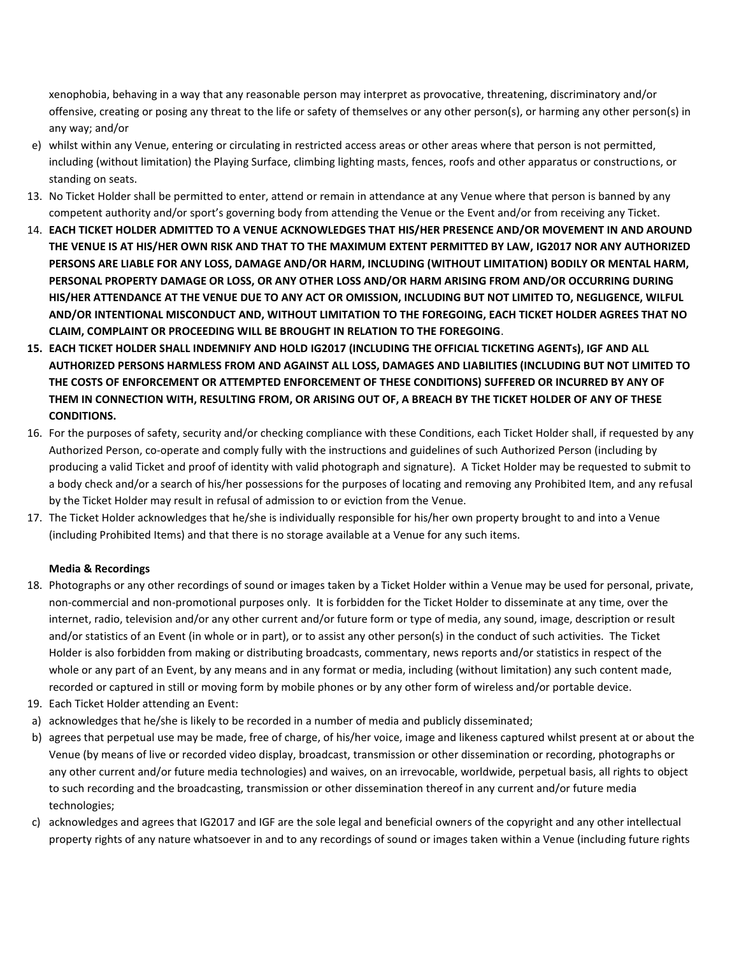xenophobia, behaving in a way that any reasonable person may interpret as provocative, threatening, discriminatory and/or offensive, creating or posing any threat to the life or safety of themselves or any other person(s), or harming any other person(s) in any way; and/or

- e) whilst within any Venue, entering or circulating in restricted access areas or other areas where that person is not permitted, including (without limitation) the Playing Surface, climbing lighting masts, fences, roofs and other apparatus or constructions, or standing on seats.
- 13. No Ticket Holder shall be permitted to enter, attend or remain in attendance at any Venue where that person is banned by any competent authority and/or sport's governing body from attending the Venue or the Event and/or from receiving any Ticket.
- 14. **EACH TICKET HOLDER ADMITTED TO A VENUE ACKNOWLEDGES THAT HIS/HER PRESENCE AND/OR MOVEMENT IN AND AROUND THE VENUE IS AT HIS/HER OWN RISK AND THAT TO THE MAXIMUM EXTENT PERMITTED BY LAW, IG2017 NOR ANY AUTHORIZED PERSONS ARE LIABLE FOR ANY LOSS, DAMAGE AND/OR HARM, INCLUDING (WITHOUT LIMITATION) BODILY OR MENTAL HARM, PERSONAL PROPERTY DAMAGE OR LOSS, OR ANY OTHER LOSS AND/OR HARM ARISING FROM AND/OR OCCURRING DURING HIS/HER ATTENDANCE AT THE VENUE DUE TO ANY ACT OR OMISSION, INCLUDING BUT NOT LIMITED TO, NEGLIGENCE, WILFUL AND/OR INTENTIONAL MISCONDUCT AND, WITHOUT LIMITATION TO THE FOREGOING, EACH TICKET HOLDER AGREES THAT NO CLAIM, COMPLAINT OR PROCEEDING WILL BE BROUGHT IN RELATION TO THE FOREGOING**.
- **15. EACH TICKET HOLDER SHALL INDEMNIFY AND HOLD IG2017 (INCLUDING THE OFFICIAL TICKETING AGENTs), IGF AND ALL AUTHORIZED PERSONS HARMLESS FROM AND AGAINST ALL LOSS, DAMAGES AND LIABILITIES (INCLUDING BUT NOT LIMITED TO THE COSTS OF ENFORCEMENT OR ATTEMPTED ENFORCEMENT OF THESE CONDITIONS) SUFFERED OR INCURRED BY ANY OF THEM IN CONNECTION WITH, RESULTING FROM, OR ARISING OUT OF, A BREACH BY THE TICKET HOLDER OF ANY OF THESE CONDITIONS.**
- 16. For the purposes of safety, security and/or checking compliance with these Conditions, each Ticket Holder shall, if requested by any Authorized Person, co-operate and comply fully with the instructions and guidelines of such Authorized Person (including by producing a valid Ticket and proof of identity with valid photograph and signature). A Ticket Holder may be requested to submit to a body check and/or a search of his/her possessions for the purposes of locating and removing any Prohibited Item, and any refusal by the Ticket Holder may result in refusal of admission to or eviction from the Venue.
- 17. The Ticket Holder acknowledges that he/she is individually responsible for his/her own property brought to and into a Venue (including Prohibited Items) and that there is no storage available at a Venue for any such items.

## **Media & Recordings**

- 18. Photographs or any other recordings of sound or images taken by a Ticket Holder within a Venue may be used for personal, private, non-commercial and non-promotional purposes only. It is forbidden for the Ticket Holder to disseminate at any time, over the internet, radio, television and/or any other current and/or future form or type of media, any sound, image, description or result and/or statistics of an Event (in whole or in part), or to assist any other person(s) in the conduct of such activities. The Ticket Holder is also forbidden from making or distributing broadcasts, commentary, news reports and/or statistics in respect of the whole or any part of an Event, by any means and in any format or media, including (without limitation) any such content made, recorded or captured in still or moving form by mobile phones or by any other form of wireless and/or portable device.
- 19. Each Ticket Holder attending an Event:
- a) acknowledges that he/she is likely to be recorded in a number of media and publicly disseminated;
- b) agrees that perpetual use may be made, free of charge, of his/her voice, image and likeness captured whilst present at or about the Venue (by means of live or recorded video display, broadcast, transmission or other dissemination or recording, photographs or any other current and/or future media technologies) and waives, on an irrevocable, worldwide, perpetual basis, all rights to object to such recording and the broadcasting, transmission or other dissemination thereof in any current and/or future media technologies;
- c) acknowledges and agrees that IG2017 and IGF are the sole legal and beneficial owners of the copyright and any other intellectual property rights of any nature whatsoever in and to any recordings of sound or images taken within a Venue (including future rights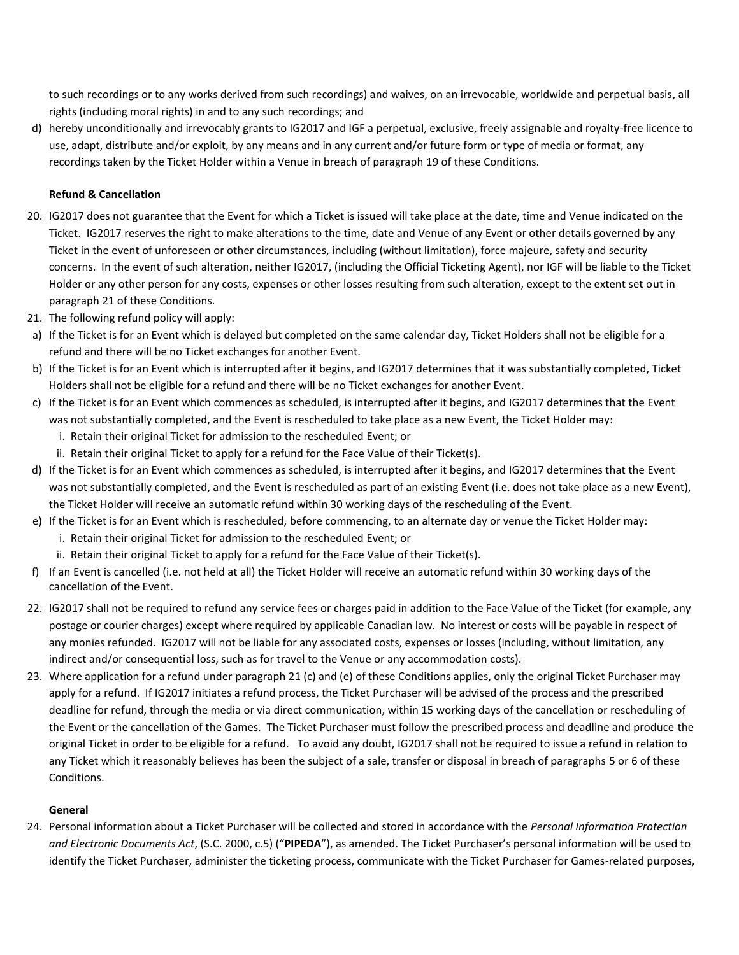to such recordings or to any works derived from such recordings) and waives, on an irrevocable, worldwide and perpetual basis, all rights (including moral rights) in and to any such recordings; and

d) hereby unconditionally and irrevocably grants to IG2017 and IGF a perpetual, exclusive, freely assignable and royalty-free licence to use, adapt, distribute and/or exploit, by any means and in any current and/or future form or type of media or format, any recordings taken by the Ticket Holder within a Venue in breach of paragraph 19 of these Conditions.

## **Refund & Cancellation**

- 20. IG2017 does not guarantee that the Event for which a Ticket is issued will take place at the date, time and Venue indicated on the Ticket. IG2017 reserves the right to make alterations to the time, date and Venue of any Event or other details governed by any Ticket in the event of unforeseen or other circumstances, including (without limitation), force majeure, safety and security concerns. In the event of such alteration, neither IG2017, (including the Official Ticketing Agent), nor IGF will be liable to the Ticket Holder or any other person for any costs, expenses or other losses resulting from such alteration, except to the extent set out in paragraph 21 of these Conditions.
- 21. The following refund policy will apply:
- a) If the Ticket is for an Event which is delayed but completed on the same calendar day, Ticket Holders shall not be eligible for a refund and there will be no Ticket exchanges for another Event.
- b) If the Ticket is for an Event which is interrupted after it begins, and IG2017 determines that it was substantially completed, Ticket Holders shall not be eligible for a refund and there will be no Ticket exchanges for another Event.
- c) If the Ticket is for an Event which commences as scheduled, is interrupted after it begins, and IG2017 determines that the Event was not substantially completed, and the Event is rescheduled to take place as a new Event, the Ticket Holder may:
	- i. Retain their original Ticket for admission to the rescheduled Event; or
	- ii. Retain their original Ticket to apply for a refund for the Face Value of their Ticket(s).
- d) If the Ticket is for an Event which commences as scheduled, is interrupted after it begins, and IG2017 determines that the Event was not substantially completed, and the Event is rescheduled as part of an existing Event (i.e. does not take place as a new Event), the Ticket Holder will receive an automatic refund within 30 working days of the rescheduling of the Event.
- e) If the Ticket is for an Event which is rescheduled, before commencing, to an alternate day or venue the Ticket Holder may:
	- i. Retain their original Ticket for admission to the rescheduled Event; or
	- ii. Retain their original Ticket to apply for a refund for the Face Value of their Ticket(s).
- f) If an Event is cancelled (i.e. not held at all) the Ticket Holder will receive an automatic refund within 30 working days of the cancellation of the Event.
- 22. IG2017 shall not be required to refund any service fees or charges paid in addition to the Face Value of the Ticket (for example, any postage or courier charges) except where required by applicable Canadian law. No interest or costs will be payable in respect of any monies refunded. IG2017 will not be liable for any associated costs, expenses or losses (including, without limitation, any indirect and/or consequential loss, such as for travel to the Venue or any accommodation costs).
- 23. Where application for a refund under paragraph 21 (c) and (e) of these Conditions applies, only the original Ticket Purchaser may apply for a refund. If IG2017 initiates a refund process, the Ticket Purchaser will be advised of the process and the prescribed deadline for refund, through the media or via direct communication, within 15 working days of the cancellation or rescheduling of the Event or the cancellation of the Games. The Ticket Purchaser must follow the prescribed process and deadline and produce the original Ticket in order to be eligible for a refund. To avoid any doubt, IG2017 shall not be required to issue a refund in relation to any Ticket which it reasonably believes has been the subject of a sale, transfer or disposal in breach of paragraphs 5 or 6 of these Conditions.

#### **General**

24. Personal information about a Ticket Purchaser will be collected and stored in accordance with the *Personal Information Protection and Electronic Documents Act*, (S.C. 2000, c.5) ("**PIPEDA**"), as amended. The Ticket Purchaser's personal information will be used to identify the Ticket Purchaser, administer the ticketing process, communicate with the Ticket Purchaser for Games-related purposes,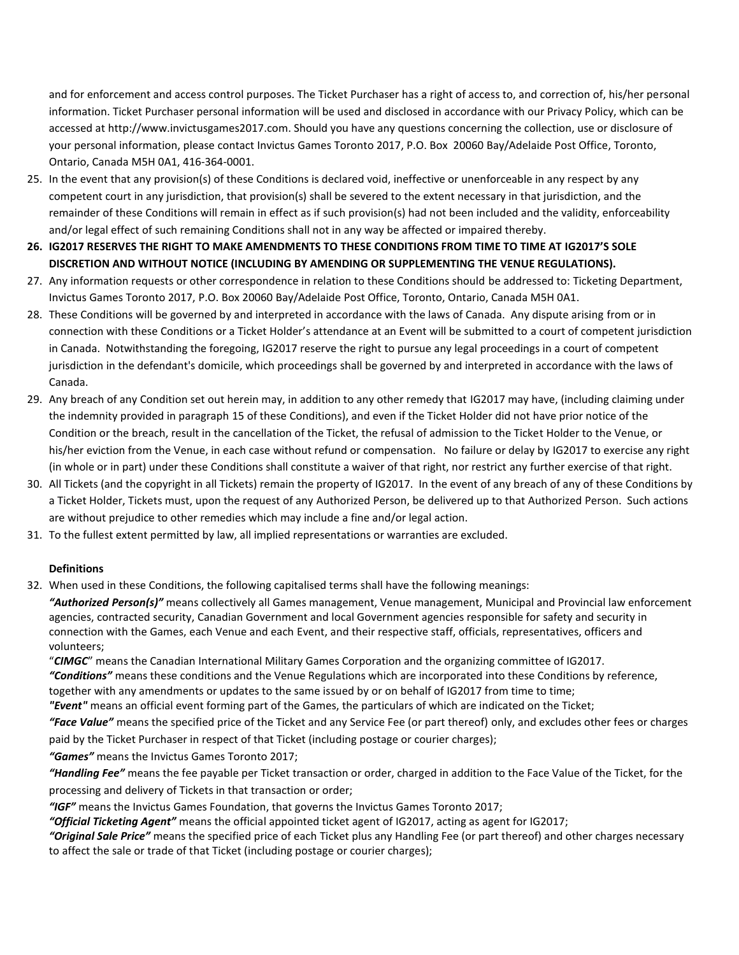and for enforcement and access control purposes. The Ticket Purchaser has a right of access to, and correction of, his/her personal information. Ticket Purchaser personal information will be used and disclosed in accordance with our Privacy Policy, which can be accessed at http://www.invictusgames2017.com. Should you have any questions concerning the collection, use or disclosure of your personal information, please contact Invictus Games Toronto 2017, P.O. Box 20060 Bay/Adelaide Post Office, Toronto, Ontario, Canada M5H 0A1, 416-364-0001.

- 25. In the event that any provision(s) of these Conditions is declared void, ineffective or unenforceable in any respect by any competent court in any jurisdiction, that provision(s) shall be severed to the extent necessary in that jurisdiction, and the remainder of these Conditions will remain in effect as if such provision(s) had not been included and the validity, enforceability and/or legal effect of such remaining Conditions shall not in any way be affected or impaired thereby.
- **26. IG2017 RESERVES THE RIGHT TO MAKE AMENDMENTS TO THESE CONDITIONS FROM TIME TO TIME AT IG2017'S SOLE DISCRETION AND WITHOUT NOTICE (INCLUDING BY AMENDING OR SUPPLEMENTING THE VENUE REGULATIONS).**
- 27. Any information requests or other correspondence in relation to these Conditions should be addressed to: Ticketing Department, Invictus Games Toronto 2017, P.O. Box 20060 Bay/Adelaide Post Office, Toronto, Ontario, Canada M5H 0A1.
- 28. These Conditions will be governed by and interpreted in accordance with the laws of Canada. Any dispute arising from or in connection with these Conditions or a Ticket Holder's attendance at an Event will be submitted to a court of competent jurisdiction in Canada. Notwithstanding the foregoing, IG2017 reserve the right to pursue any legal proceedings in a court of competent jurisdiction in the defendant's domicile, which proceedings shall be governed by and interpreted in accordance with the laws of Canada.
- 29. Any breach of any Condition set out herein may, in addition to any other remedy that IG2017 may have, (including claiming under the indemnity provided in paragraph 15 of these Conditions), and even if the Ticket Holder did not have prior notice of the Condition or the breach, result in the cancellation of the Ticket, the refusal of admission to the Ticket Holder to the Venue, or his/her eviction from the Venue, in each case without refund or compensation. No failure or delay by IG2017 to exercise any right (in whole or in part) under these Conditions shall constitute a waiver of that right, nor restrict any further exercise of that right.
- 30. All Tickets (and the copyright in all Tickets) remain the property of IG2017. In the event of any breach of any of these Conditions by a Ticket Holder, Tickets must, upon the request of any Authorized Person, be delivered up to that Authorized Person. Such actions are without prejudice to other remedies which may include a fine and/or legal action.
- 31. To the fullest extent permitted by law, all implied representations or warranties are excluded.

## **Definitions**

32. When used in these Conditions, the following capitalised terms shall have the following meanings:

*"Authorized Person(s)"* means collectively all Games management, Venue management, Municipal and Provincial law enforcement agencies, contracted security, Canadian Government and local Government agencies responsible for safety and security in connection with the Games, each Venue and each Event, and their respective staff, officials, representatives, officers and volunteers;

"*CIMGC*" means the Canadian International Military Games Corporation and the organizing committee of IG2017. *"Conditions"* means these conditions and the Venue Regulations which are incorporated into these Conditions by reference, together with any amendments or updates to the same issued by or on behalf of IG2017 from time to time; *"Event"* means an official event forming part of the Games, the particulars of which are indicated on the Ticket;

*"Face Value"* means the specified price of the Ticket and any Service Fee (or part thereof) only, and excludes other fees or charges paid by the Ticket Purchaser in respect of that Ticket (including postage or courier charges);

*"Games"* means the Invictus Games Toronto 2017;

*"Handling Fee"* means the fee payable per Ticket transaction or order, charged in addition to the Face Value of the Ticket, for the processing and delivery of Tickets in that transaction or order;

*"IGF"* means the Invictus Games Foundation, that governs the Invictus Games Toronto 2017;

*"Official Ticketing Agent"* means the official appointed ticket agent of IG2017, acting as agent for IG2017;

*"Original Sale Price"* means the specified price of each Ticket plus any Handling Fee (or part thereof) and other charges necessary to affect the sale or trade of that Ticket (including postage or courier charges);